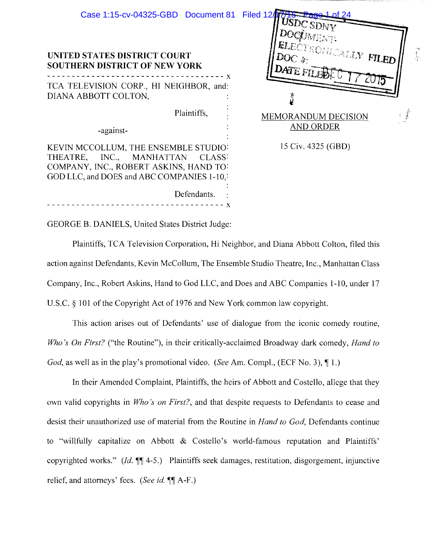| Case 1:15-cv-04325-GBD Document 81 Filed 12/1715-2ac<br>UNITED STATES DISTRICT COURT<br><b>SOUTHERN DISTRICT OF NEW YORK</b><br>TCA TELEVISION CORP., HI NEIGHBOR, and:<br>DIANA ABBOTT COLTON, | , USD <sub>Ç SDNY</sub><br>DOCUMENT.<br>ELECTRONICALLY FILED<br>$\begin{array}{c} 4 \\ 2 \\ 3 \end{array}$<br>DATE FILENE |
|-------------------------------------------------------------------------------------------------------------------------------------------------------------------------------------------------|---------------------------------------------------------------------------------------------------------------------------|
| Plaintiffs,<br>-against-                                                                                                                                                                        | اقي و.<br>مو<br>MEMORANDUM DECISION<br><b>AND ORDER</b>                                                                   |
| KEVIN MCCOLLUM, THE ENSEMBLE STUDIO:<br>THEATRE, INC., MANHATTAN<br>CLASS:<br>COMPANY, INC., ROBERT ASKINS, HAND TO:<br>GOD LLC, and DOES and ABC COMPANIES 1-10,<br>Defendants.                | 15 Civ. 4325 (GBD)                                                                                                        |

GEORGE B. DANIELS, United States District Judge:

Plaintiffs, TCA Television Corporation, Hi Neighbor, and Diana Abbott Colton, filed this action against Defendants, Kevin McCollum, The Ensemble Studio Theatre, Inc., Manhattan Class Company, Inc., Robert Askins, Hand to God LLC, and Does and ABC Companies 1-10, under 17 U.S.C. § 101 of the Copyright Act of 1976 and New York common Jaw copyright.

This action arises out of Defendants' use of dialogue from the iconic comedy routine, *Who's On First?* ("the Routine"), in their critically-acclaimed Broadway dark comedy, *Hand to God*, as well as in the play's promotional video. (See Am. Compl., (ECF No. 3), 1.)

In their Amended Complaint, Plaintiffs, the heirs of Abbott and Costello, allege that they own valid copyrights in *Who's on First?,* and that despite requests to Defendants to cease and desist their unauthorized use of material from the Routine in *Hand to God,* Defendants continue to "willfully capitalize on Abbott & Costello's world-famous reputation and Plaintiffs' copyrighted works." *(Id.*  $\P$ [ 4-5.) Plaintiffs seek damages, restitution, disgorgement, injunctive relief, and attorneys' fees. (See *id.*  $\P$ [A-F.)]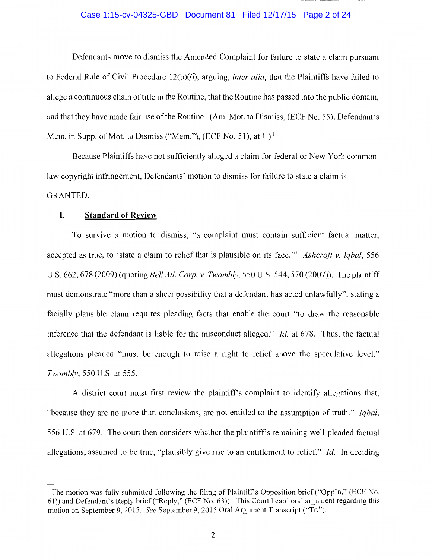### Case 1:15-cv-04325-GBD Document 81 Filed 12/17/15 Page 2 of 24

Defendants move to dismiss the Amended Complaint for failure to state a claim pursuant to Federal Rule of Civil Procedure 12(b)(6), arguing, *inter alia*, that the Plaintiffs have failed to allege a continuous chain of title in the Routine, that the Routine has passed into the public domain, and that they have made fair use of the Routine. (Am. Mot. to Dismiss, (ECF No. 55); Defendant's Mem. in Supp. of Mot. to Dismiss ("Mem."), (ECF No. 51), at  $1.$ )<sup> $1$ </sup>

Because Plaintiffs have not sufficiently alleged a claim for federal or New York common law copyright infringement, Defendants' motion to dismiss for failure to state a claim is GRANTED.

# **I. Standard of Review**

To survive a motion to dismiss, "a complaint must contain sufficient factual matter, accepted as true, to 'state a claim to relief that is plausible on its face."' *Ashcroft v. Iqbal,* 556 U.S. 662, 678 (2009) (quoting *Bell At!. Corp. v. Twombly,* 550 U.S. 544, 570 (2007)). The plaintiff must demonstrate "more than a sheer possibility that a defendant has acted unlawfully"; stating a facially plausible claim requires pleading facts that enable the court "to draw the reasonable inference that the defendant is liable for the misconduct alleged." *Id.* at 678. Thus, the factual allegations pleaded "must be enough to raise a right to relief above the speculative level." *Twombly,* 550 U.S. at 555.

A district court must first review the plaintiff's complaint to identify allegations that, "because they are no more than conclusions, are not entitled to the assumption of truth." *Iqbal,*  556 U.S. at 679. The court then considers whether the plaintiffs remaining well-pleaded factual allegations, assumed to be true, "plausibly give rise to an entitlement to relief." *Id.* In deciding

<sup>&</sup>lt;sup>1</sup> The motion was fully submitted following the filing of Plaintiff's Opposition brief ("Opp'n," (ECF No. 61)) and Defendant's Reply brief ("Reply," (ECF No. 63)). This Court heard oral argument regarding this motion on September 9, 2015. *See* September 9, 2015 Oral Argument Transcript ("Tr.").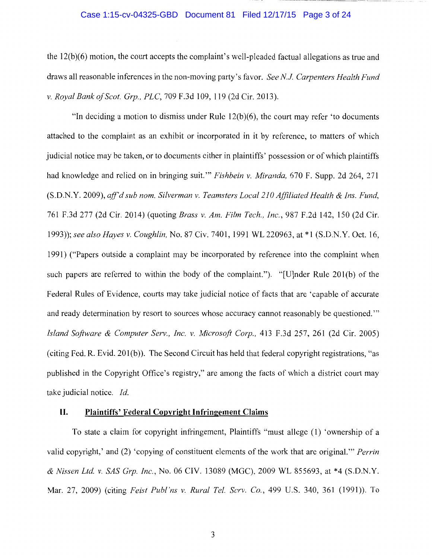#### Case 1:15-cv-04325-GBD Document 81 Filed 12/17/15 Page 3 of 24

the 12(b)(6) motion, the court accepts the complaint's well-pleaded factual allegations as true and draws all reasonable inferences in the non-moving party's favor. *See N.J. Carpenters Health Fund v. Royal Banko/Scot. Grp., PLC,* 709 F.3d 109, 119 (2d Cir. 2013).

"In deciding a motion to dismiss under Rule  $12(b)(6)$ , the court may refer 'to documents attached to the complaint as an exhibit or incorporated in it by reference, to matters of which judicial notice may be taken, or to documents either in plaintiffs' possession or of which plaintiffs had knowledge and relied on in bringing suit."' *Fishbein v. Miranda,* 670 F. Supp. 2d 264, 271 (S.D.N.Y. 2009), *aff'd sub nom. Silverman v. Teamsters Local 210 Affiliated Health* & *Ins. Fund,*  761 F.3d 277 (2d Cir. 2014) (quoting *Brass v. Am. Film Tech., Inc.,* 987 F.2d 142, 150 (2d Cir. 1993)); *see also Hayes v. Coughlin,* No. 87 Civ. 7401, 1991WL220963, at \*l (S.D.N.Y. Oct. 16, 1991) ("Papers outside a complaint may be incorporated by reference into the complaint when such papers are referred to within the body of the complaint."). "[U]nder Rule 201(b) of the Federal Rules of Evidence, courts may take judicial notice of facts that are 'capable of accurate and ready determination by resort to sources whose accuracy cannot reasonably be questioned."' *Island Software* & *Computer Serv., Inc. v. Microsoft Corp.,* 413 F.3d 257, 261 (2d Cir. 2005) (citing Fed. R. Evid. 201(b)). The Second Circuit has held that federal copyright registrations, "as published in the Copyright Office's registry," are among the facts of which a district court may take judicial notice. *Id.* 

# **II. Plaintiffs' Federal Copyright Infringement Claims**

To state a claim for copyright infringement, Plaintiffs "must allege (1) 'ownership of a valid copyright,' and (2) 'copying of constituent elements of the work that are original."' *Perrin*  & *Nissen Ltd. v. SAS Grp. Inc.,* No. 06 CIV. 13089 (MOC), 2009 WL 855693, at \*4 (S.D.N.Y. Mar. 27, 2009) (citing *Feist Publ'ns v. Rural Tel. Scrv. Co.,* 499 U.S. 340, 361 (1991)). To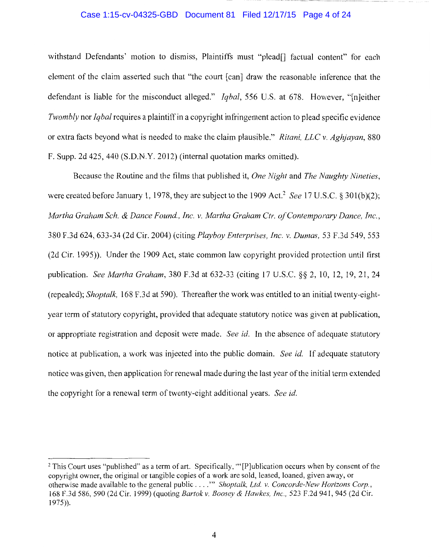## Case 1:15-cv-04325-GBD Document 81 Filed 12/17/15 Page 4 of 24

withstand Defendants' motion to dismiss, Plaintiffs must "plead[] factual content" for each element of the claim asserted such that "the court [can] draw the reasonable inference that the defendant is liable for the misconduct alleged." *Iqbal,* 556 U.S. at 678. However, "[n]either *Twombly* nor *Iqbal* requires a plaintiff in a copyright infringement action to plead specific evidence or extra facts beyond what is needed to make the claim plausible." *Ritani, LLC v. Aghjayan,* 880 F. Supp. 2d 425, 440 (S.D.N.Y. 2012) (internal quotation marks omitted).

Because the Routine and the films that published it, *One Night* and *The Naughty Nineties,*  were created before January 1, 1978, they are subject to the 1909 Act.<sup>2</sup> See 17 U.S.C. § 301(b)(2); *Martha Graham Sch.* & *Dance Found., Inc. v. Martha Graham Ctr. of Contemporary Dance, Inc.,*  380 F.3d 624, 633-34 (2d Cir. 2004) (citing *Playboy Enterprises, Inc. v. Dumas,* 53 F.3d 549, 553 (2d Cir. 1995) ). Under the 1909 Act, state common law copyright provided protection until first publication. *See Martha Graham,* 380 F.3d at 632-33 (citing 17 U.S.C. §§ 2, 10, 12, 19, 21, 24 (repealed); *Shoptalk,* 168 F.3d at 590). Thereafter the work was entitled to an initial twenty-eightyear term of statutory copyright, provided that adequate statutory notice was given at publication, or appropriate registration and deposit were made. *See id.* In the absence of adequate statutory notice at publication, a work was injected into the public domain. *See id.* If adequate statutory notice was given, then application for renewal made during the last year of the initial term extended the copyright for a renewal term of twenty-eight additional years. *See id.* 

<sup>&</sup>lt;sup>2</sup> This Court uses "published" as a term of art. Specifically, "'[P]ublication occurs when by consent of the copyright owner, the original or tangible copies of a work are sold, leased, loaned, given away, or otherwise made available to the general public .... "' *Shoptalk, Ltd. v. Concorde-New Horizons Corp.,*  168 F.3d 586, 590 (2d Cir. 1999) (quoting *Bartok v. Boosey* & *Hawkes, Inc.,* 523 F.2d 941, 945 (2d Cir. 1975)).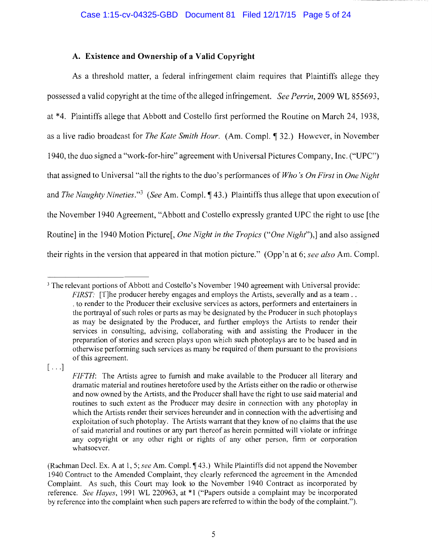# A. **Existence and Ownership of a Valid Copyright**

As a threshold matter, a federal infringement claim requires that Plaintiffs allege they possessed a valid copyright at the time of the alleged infringement. *See Perrin,* 2009 WL 855693, at \*4. Plaintiffs allege that Abbott and Costello first performed the Routine on March 24, 1938, as a live radio broadcast for *The Kate Smith Hour.* (Am. Compl. ~ 32.) However, in November 1940, the duo signed a "work-for-hire" agreement with Universal Pictures Company, Inc. ("UPC") that assigned to Universal "all the rights to the duo's performances of *Who's On First* in *One Night*  and *The Naughty Nineties.*"<sup>3</sup> (See Am. Compl. 143.) Plaintiffs thus allege that upon execution of the November 1940 Agreement, "Abbott and Costello expressly granted UPC the right to use [the Routine] in the 1940 Motion Picture[, *One Night in the Tropics ("One Night"),]* and also assigned their rights in the version that appeared in that motion picture." (Opp'n at 6; *see also* Am. Compl.

 $[\ldots]$ 

<sup>&</sup>lt;sup>3</sup> The relevant portions of Abbott and Costello's November 1940 agreement with Universal provide: *FIRST:* [T]he producer hereby engages and employs the Artists, severally and as a team ... . to render to the Producer their exclusive services as actors, performers and entertainers in the portrayal of such roles or parts as may be designated by the Producer in such photoplays as may be designated by the Producer, and further employs the Artists to render their services in consulting, advising, collaborating with and assisting the Producer in the preparation of stories and screen plays upon which such photoplays are to be based and in otherwise performing such services as many be required of them pursuant to the provisions of this agreement.

*FIFTH:* The Artists agree to furnish and make available to the Producer all literary and dramatic material and routines heretofore used by the Artists either on the radio or otherwise and now owned by the Artists, and the Producer shall have the right to use said material and routines to such extent as the Producer may desire in connection with any photoplay in which the Artists render their services hereunder and in connection with the advertising and exploitation of such photoplay. The Artists warrant that they know of no claims that the use of said material and routines or any part thereof as herein permitted will violate or infringe any copyright or any other right or rights of any other person, firm or corporation whatsoever.

<sup>(</sup>Rachman Decl. Ex. A at 1, 5; *see* Am. Compl.  $\P$  43.) While Plaintiffs did not append the November 1940 Contract to the Amended Complaint, they clearly referenced the agreement in the Amended Complaint. As such, this Court may look to the November 1940 Contract as incorporated by reference. *See Hayes,* 1991 WL 220963, at \*1 ("Papers outside a complaint may be incorporated by reference into the complaint when such papers are referred to within the body of the complaint.").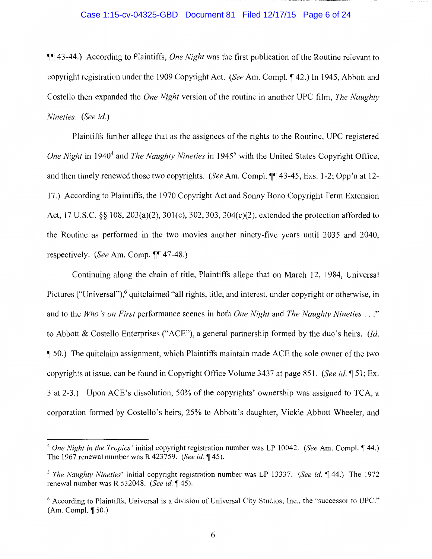## Case 1:15-cv-04325-GBD Document 81 Filed 12/17/15 Page 6 of 24

i-fi-f 43-44.) According to Plaintiffs, *One Night* was the first publication of the Routine relevant to copyright registration under the 1909 Copyright Act. *(See Am. Compl.* 142.) In 1945, Abbott and Costello then expanded the *One Night* version of the routine in another UPC film, *The Naughty Nineties. (See id.)* 

Plaintiffs further allege that as the assignees of the rights to the Routine, UPC registered *One Night* in 1940<sup>4</sup> and *The Naughty Nineties* in 1945<sup>5</sup> with the United States Copyright Office, and then timely renewed those two copyrights. *(See Am. Compl.* 11 43-45, Exs. 1-2; Opp'n at 12-17.) According to Plaintiffs, the 1970 Copyright Act and Sonny Bono Copyright Term Extension Act, 17 U.S.C. §§ 108, 203(a)(2), 30l(c), 302, 303, 304(c)(2), extended the protection afforded to the Routine as performed in the two movies another ninety-five years until 2035 and 2040, respectively. *(See Am. Comp.*  $\P$  47-48.)

Continuing along the chain of title, Plaintiffs allege that on March 12, 1984, Universal Pictures ("Universal"),<sup>6</sup> quitclaimed "all rights, title, and interest, under copyright or otherwise, in and to the *Who's on First* performance scenes in both *One Night* and *The Naughty Nineties* ... " to Abbott & Costello Enterprises ("ACE"), a general partnership formed by the duo's heirs. *(Id.*  **1.** So.) The quitclaim assignment, which Plaintiffs maintain made ACE the sole owner of the two copyrights at issue, can be found in Copyright Office Volume 3437 at page 851. *(See id.* 151; Ex. 3 at 2-3.) Upon ACE's dissolution, 50% of the copyrights' ownership was assigned to TCA, a corporation formed by Costello's heirs, 25% to Abbott's daughter, Vickie Abbott Wheeler, and

<sup>&</sup>lt;sup>4</sup> One Night in the Tropics' initial copyright registration number was LP 10042. *(See Am. Compl.* 144.) The 1967 renewal number was R 423759. *(See id.* 145).

<sup>&</sup>lt;sup>5</sup> The Naughty Nineties' initial copyright registration number was LP 13337. (See id. 144.) The 1972 renewal number was R 532048. *(See id.* 145).

<sup>6</sup> According to Plaintiffs, Universal is a division of Universal City Studios, Inc., the "successor to UPC."  $(Am. Compl. \P 50.)$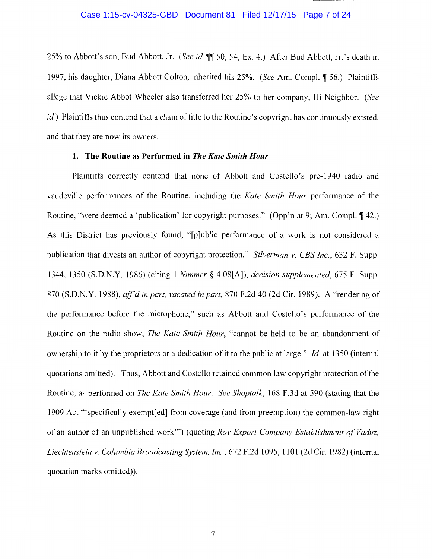25% to Abbott's son, Bud Abbott, Jr. *(See id.* <sup>1</sup>] 50, 54; Ex. 4.) After Bud Abbott, Jr.'s death in 1997, his daughter, Diana Abbott Colton, inherited his 25%. *(See Am. Compl.* 156.) Plaintiffs allege that Vickie Abbot Wheeler also transferred her 25% to her company, Hi Neighbor. *(See*  id.) Plaintiffs thus contend that a chain of title to the Routine's copyright has continuously existed, and that they are now its owners.

# **1. The Routine as Performed in** *The Kate Smith Hour*

Plaintiffs correctly contend that none of Abbott and Costello's pre-1940 radio and vaudeville performances of the Routine, including the *Kate Smith Hour* performance of the Routine, "were deemed a 'publication' for copyright purposes." (Opp'n at 9; Am. Compl. 142.) As this District has previously found, "[p ]ublic performance of a work is not considered a publication that divests an author of copyright protection." *Silverman v. CBS Inc.,* 632 F. Supp. 1344, 1350 (S.D.N.Y. 1986) (citing 1 *Nimmer§* 4.08[A]), *decision supplemented,* 675 F. Supp. 870 (S.D.N. Y. 1988), *aff'd in part, vacated in part,* 870 F .2d 40 (2d Cir. 1989). A "rendering of the performance before the microphone," such as Abbott and Costello's performance of the Routine on the radio show, *The Kate Smith Hour,* "cannot be held to be an abandonment of ownership to it by the proprietors or a dedication of it to the public at large." *Id.* at 1350 (internal quotations omitted). Thus, Abbott and Costello retained common law copyright protection of the Routine, as performed on *The Kate Smith Hour. See Shoptalk,* 168 F.3d at 590 (stating that the 1909 Act "'specifically exempt[ ed] from coverage (and from preemption) the common-law right of an author of an unpublished work"') (quoting *Roy Export Company Establishment of Vaduz, Liechtenstein v. Columbia Broadcasting System, Inc.,* 672 F .2d 1095, 1101 (2d Cir. 1982) (internal quotation marks omitted)).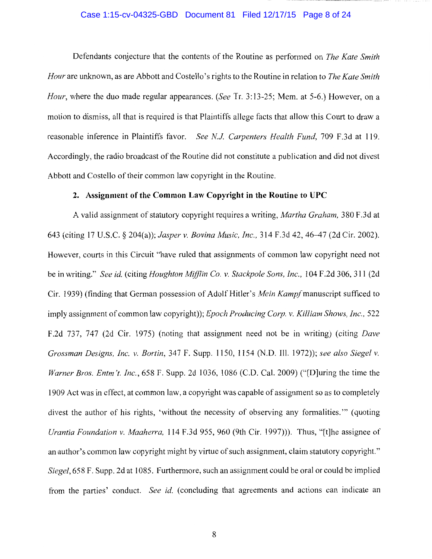## Case 1:15-cv-04325-GBD Document 81 Filed 12/17/15 Page 8 of 24

Defendants conjecture that the contents of the Routine as performed on *The Kate Smith Hour* are unknown, as are Abbott and Costello's rights to the Routine in relation to *The Kate Smith Hour,* where the duo made regular appearances. *(See* Tr. 3:13-25; Mem. at 5-6.) However, on a motion to dismiss, all that is required is that Plaintiffs allege facts that allow this Court to draw a reasonable inference in Plaintiffs favor. *See N.J. Carpenters Health Fund*, 709 F.3d at 119. Accordingly, the radio broadcast of the Routine did not constitute a publication and did not divest Abbott and Costello of their common law copyright in the Routine.

# **2. Assignment of the Common Law Copyright in the Routine to UPC**

A valid assignment of statutory copyright requires a writing, *Martha Graham,* 380 F.3d at 643 (citing 17 U.S.C. § 204(a)); *Jasper v. Bovina Music, Inc.,* 314 F.3d 42, 46--47 (2d Cir. 2002). However, courts in this Circuit "have ruled that assignments of common law copyright need not be in writing." *See id.* (citing *Houghton Mifjlin Co. v. Stackpole Sons, Inc.,* 104 F.2d 306, 311 (2d Cir. 1939) (finding that German possession of Adolf Hitler's *Mein Kampf* manuscript sufficed to imply assignment of common law copyright)); *Epoch Producing Corp. v. Killiam Shows, Inc.,* 522 F.2d 737, 747 (2d Cir. 1975) (noting that assignment need not be in writing) (citing *Dave Grossman Designs, Inc. v. Bartin,* 347 F. Supp. 1150, 1154 (N.D. Ill. 1972)); *see also Siegel v. Warner Bros. Entm 't. Inc.,* 658 F. Supp. 2d 1036, 1086 (C.D. Cal. 2009) ("[D]uring the time the 1909 Act was in effect, at common law, a copyright was capable of assignment so as to completely divest the author of his rights, 'without the necessity of observing any formalities."' (quoting *Urantia Foundation v. Maaherra,* 114 F.3d 955, 960 (9th Cir. 1997))). Thus, "[t]he assignee of an author's common law copyright might by virtue of such assignment, claim statutory copyright." *Siegel,* 658 F. Supp. 2d at 1085. Furthermore, such an assignment could be oral or could be implied from the parties' conduct. *See id.* (concluding that agreements and actions can indicate an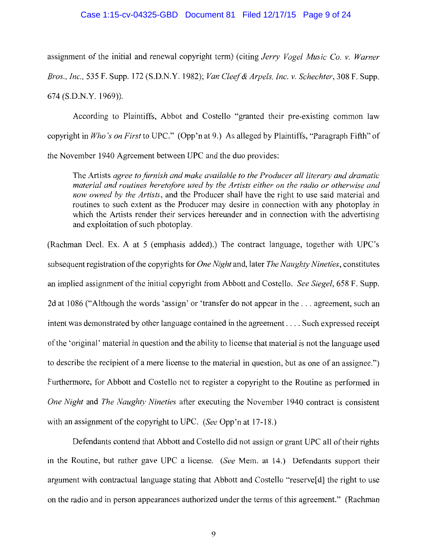## Case 1:15-cv-04325-GBD Document 81 Filed 12/17/15 Page 9 of 24

assignment of the initial and renewal copyright term) (citing *Jerry Vogel Music Co. v. Warner Bros., Inc.,* 535 F. Supp. 172 (S.D.N.Y. 1982); *Van Cleef* & *Arpels, Inc. v. Schechter,* 308 F. Supp. 674 (S.D.N.Y. 1969)).

According to Plaintiffs, Abbot and Costello "granted their pre-existing common law copyright in *Who's on First* to UPC." (Opp'n at 9.) As alleged by Plaintiffs, "Paragraph Fifth" of the November 1940 Agreement between UPC and the duo provides:

The Artists *agree to furnish and make available to the Producer all literary and dramatic material and routines heretofore used by the Artists either on the radio or otherwise and now owned by the Artists,* and the Producer shall have the right to use said material and routines to such extent as the Producer may desire in connection with any photoplay in which the Artists render their services hereunder and in connection with the advertising and exploitation of such photoplay.

(Rachman Deel. Ex. A at 5 (emphasis added).) The contract language, together with UPC's subsequent registration of the copyrights for *One Night* and, later *The Naughty Nineties,* constitutes an implied assignment of the initial copyright from Abbott and Costello. *See Siegel,* 658 F. Supp. 2d at 1086 ("Although the words 'assign' or 'transfer do not appear in the ... agreement, such an intent was demonstrated by other language contained in the agreement .... Such expressed receipt of the 'original' material in question and the ability to license that material is not the language used to describe the recipient of a mere license to the material in question, but as one of an assignee.") Furthermore, for Abbott and Costello not to register a copyright to the Routine as performed in *One Night* and *The Naughty Nineties* after executing the November 1940 contract is consistent with an assignment of the copyright to UPC. *(See* Opp'n at 17-18.)

Defendants contend that Abbott and Costello did not assign or grant UPC all of their rights in the Routine, but rather gave UPC a license. *(See* Mem. at 14.) Defendants support their argument with contractual language stating that Abbott and Costello "reserve<sup>[d]</sup> the right to use on the radio and in person appearances authorized under the terms of this agreement." (Rachman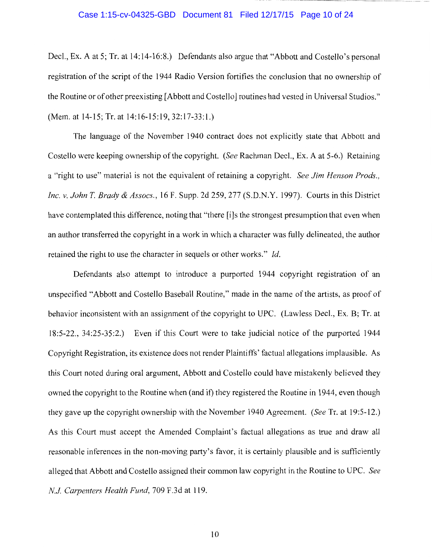## Case 1:15-cv-04325-GBD Document 81 Filed 12/17/15 Page 10 of 24

Deel., Ex. A at 5; Tr. at 14:14-16:8.) Defendants also argue that "Abbott and Costello's personal registration of the script of the 1944 Radio Version fortifies the conclusion that no ownership of the Routine or of other preexisting [Abbott and Costello] routines had vested in Universal Studios." (Mem. at 14-15; Tr. at 14:16-15:19, 32:17-33:1.)

The language of the November 1940 contract does not explicitly state that Abbott and Costello were keeping ownership of the copyright. *(See* Rachman Deel., Ex. A at 5-6.) Retaining a "right to use" material is not the equivalent of retaining a copyright. *See Jim Henson Prods., Inc. v. John T. Brady & Assocs.*, 16 F. Supp. 2d 259, 277 (S.D.N.Y. 1997). Courts in this District have contemplated this difference, noting that "there [i]s the strongest presumption that even when an author transferred the copyright in a work in which a character was fully delineated, the author retained the right to use the character in sequels or other works." *Id.* 

Defendants also attempt to introduce a purported 1944 copyright registration of an unspecified "Abbott and Costello Baseball Routine," made in the name of the artists, as proof of behavior inconsistent with an assignment of the copyright to UPC. (Lawless Deel., Ex. B; Tr. at 18:5-22., 34:25-35:2.) Even if this Court were to take judicial notice of the purported 1944 Copyright Registration, its existence does not render Plaintiffs' factual allegations implausible. As this Court noted during oral argument, Abbott and Costello could have mistakenly believed they owned the copyright to the Routine when (and if) they registered the Routine in 1944, even though they gave up the copyright ownership with the November 1940 Agreement. *(See* Tr. at 19:5-12.) As this Court must accept the Amended Complaint's factual allegations as true and draw all reasonable inferences in the non-moving party's favor, it is certainly plausible and is sufficiently alleged that Abbott and Costello assigned their common law copyright in the Routine to UPC. *See NJ. Carpenters Health Fund,* 709 F.3d at 119.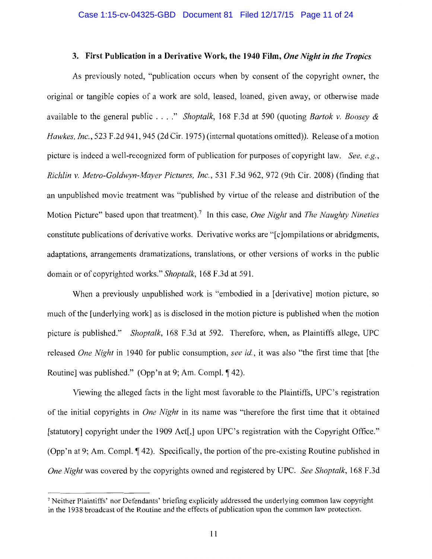# **3. First Publication in a Derivative Work, the 1940 Film,** *One Night in the Tropics*

As previously noted, "publication occurs when by consent of the copyright owner, the original or tangible copies of a work are sold, leased, loaned, given away, or otherwise made available to the general public .... " *Shoptalk,* 168 F.3d at 590 (quoting *Bartok v. Boosey* & *Hawkes, Inc.,* 523 F.2d 941, 945 (2d Cir. 1975) (internal quotations omitted)). Release of a motion picture is indeed a well-recognized form of publication for purposes of copyright law. *See, e.g., Richlin v. Metro-Goldwyn-Mayer Pictures, Inc.,* 531 F.3d 962, 972 (9th Cir. 2008) (finding that an unpublished movie treatment was "published by virtue of the release and distribution of the Motion Picture" based upon that treatment).<sup>7</sup> In this case, *One Night* and *The Naughty Nineties* constitute publications of derivative works. Derivative works are "[ c ]ompilations or abridgments, adaptations, arrangements dramatizations, translations, or other versions of works in the public domain or of copyrighted works." *Shoptalk,* 168 F.3d at 591.

When a previously unpublished work is "embodied in a [derivative] motion picture, so much of the [underlying work] as is disclosed in the motion picture is published when the motion picture is published." *Shoptalk,* 168 F.3d at 592. Therefore, when, as Plaintiffs allege, UPC released *One Night* in 1940 for public consumption, *see id.,* it was also "the first time that [the Routine] was published." (Opp'n at 9; Am. Compl.  $\P$  42).

Viewing the alleged facts in the light most favorable to the Plaintiffs, UPC's registration of the initial copyrights in *One Night* in its name was "therefore the first time that it obtained [statutory] copyright under the 1909 Act[,] upon UPC's registration with the Copyright Office." (Opp'n at 9; Am. Compl.  $\P$  42). Specifically, the portion of the pre-existing Routine published in *One Night* was covered by the copyrights owned and registered by UPC. *See Shoptalk,* 168 F .3d

<sup>7</sup> Neither Plaintiffs' nor Defendants' briefing explicitly addressed the underlying common law copyright in the 1938 broadcast of the Routine and the effects of publication upon the common law protection.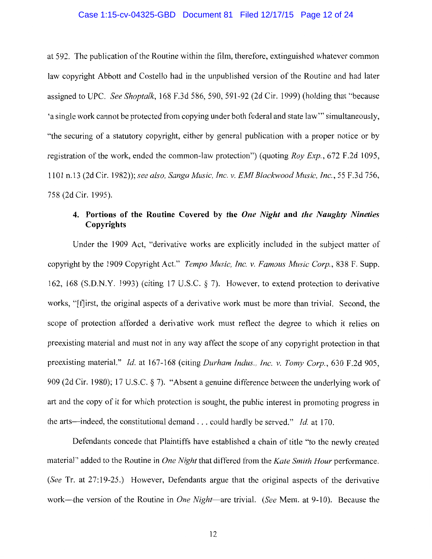### Case 1:15-cv-04325-GBD Document 81 Filed 12/17/15 Page 12 of 24

at 592. The publication of the Routine within the film, therefore, extinguished whatever common law copyright Abbott and Costello had in the unpublished version of the Routine and had later assigned to UPC. *See Shoptalk,* 168 F.3d 586, 590, 591-92 (2d Cir. 1999) (holding that "because 'a single work cannot be protected from copying under both federal and state law'" simultaneously, "the securing of a statutory copyright, either by general publication with a proper notice or by registration of the work, ended the common-law protection") (quoting *Roy Exp.*, 672 F.2d 1095, 1101 n.13 (2d Cir. 1982)); *see also, Sanga Music, Inc. v. EM! Blackwood Music, Inc.,* 55 F.3d 756, 758 (2d Cir. 1995).

# 4. Portions of the Routine Covered by the *One Night* and *the Naughty Nineties*  Copyrights

Under the 1909 Act, "derivative works are explicitly included in the subject matter of copyright by the 1909 Copyright Act." *Tempo Music, Inc. v. Famous Music Corp.,* 838 F. Supp. 162, 168 (S.D.N.Y. 1993) (citing 17 U.S.C. § 7). However, to extend protection to derivative works, "[f]irst, the original aspects of a derivative work must be more than trivial. Second, the scope of protection afforded a derivative work must reflect the degree to which it relies on preexisting material and must not in any way affect the scope of any copyright protection in that preexisting material." *Id.* at 167-168 (citing *Durham Indus., Inc. v. Tomy Corp.,* 630 F.2d 905, 909 (2d Cir. 1980); 17 U.S.C. § 7). "Absent a genuine difference between the underlying work of art and the copy of it for which protection is sought, the public interest in promoting progress in the arts—indeed, the constitutional demand . . . could hardly be served." *Id.* at 170.

Defendants concede that Plaintiffs have established a chain of title "to the newly created material" added to the Routine in *One Night* that differed from the *Kate Smith Hour* performance. *(See* Tr. at 27: 19-25.) However, Defendants argue that the original aspects of the derivative work-the version of the Routine in *One Night-are* trivial. *(See* Mem. at 9-10). Because the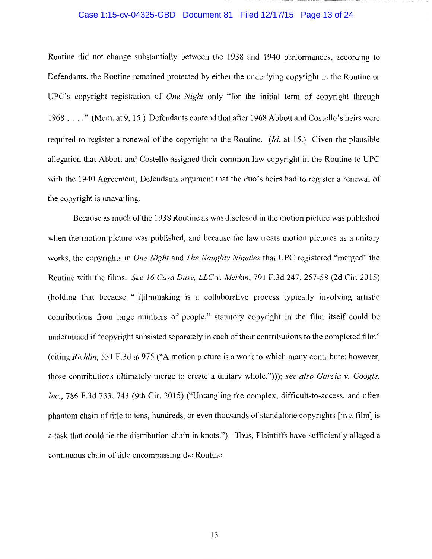## Case 1:15-cv-04325-GBD Document 81 Filed 12/17/15 Page 13 of 24

Routine did not change substantially between the 1938 and 1940 performances, according to Defendants, the Routine remained protected by either the underlying copyright in the Routine or UPC's copyright registration of *One Night* only "for the initial term of copyright through 1968 .... " (Mem. at 9, 15.) Defendants contend that after 1968 Abbott and Costello's heirs were required to register a renewal of the copyright to the Routine. *(Id.* at 15.) Given the plausible allegation that Abbott and Costello assigned their common law copyright in the Routine to UPC with the 1940 Agreement, Defendants argument that the duo's heirs had to register a renewal of the copyright is unavailing.

Because as much of the 1938 Routine as was disclosed in the motion picture was published when the motion picture was published, and because the law treats motion pictures as a unitary works, the copyrights in *One Night* and *The Naughty Nineties* that UPC registered "merged" the Routine with the films. *See 16 Casa Duse, LLC v. Merkin,* 791F.3d247, 257-58 (2d Cir. 2015) (holding that because "[f]ilmmaking is a collaborative process typically involving artistic contributions from large numbers of people," statutory copyright in the film itself could be undermined if"copyright subsisted separately in each of their contributions to the completed film" (citing *Richlin,* 531 F.3d at 975 ("A motion picture is a work to which many contribute; however, those contributions ultimately merge to create a unitary whole."))); *see also Garcia v. Google, Inc.,* 786 F.3d 733, 743 (9th Cir. 2015) ("Untangling the complex, difficult-to-access, and often phantom chain of title to tens, hundreds, or even thousands of standalone copyrights [in a film] is a task that could tie the distribution chain in knots."). Thus, Plaintiffs have sufficiently alleged a continuous chain of title encompassing the Routine.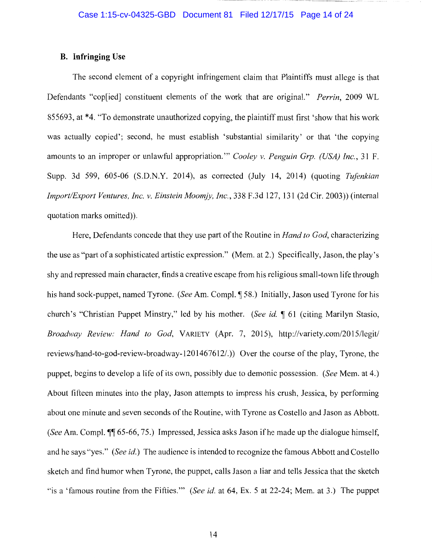# **B. Infringing Use**

The second element of a copyright infringement claim that Plaintiffs must allege is that Defendants "cop[ied] constituent elements of the work that are original." *Perrin,* 2009 WL 855693, at \*4. "To demonstrate unauthorized copying, the plaintiff must first 'show that his work was actually copied'; second, he must establish 'substantial similarity' or that 'the copying amounts to an improper or unlawful appropriation."' *Cooley v. Penguin Grp. (USA) Inc.,* 31 F. Supp. 3d 599, 605-06 (S.D.N.Y. 2014), as corrected (July 14, 2014) (quoting *Tufenkian Import/Export Ventures, Inc. v. Einstein Moomjy, Inc.,* 338 F.3d 127, 131 (2d Cir. 2003)) (internal quotation marks omitted)).

Here, Defendants concede that they use part of the Routine in *Hand to God,* characterizing the use as "part of a sophisticated artistic expression." (Mem. at 2.) Specifically, Jason, the play's shy and repressed main character, finds a creative escape from his religious small-town life through his hand sock-puppet, named Tyrone. *(See Am. Compl.* **158.)** Initially, Jason used Tyrone for his church's "Christian Puppet Minstry," led by his mother. *(See id.* 161 (citing Marilyn Stasio, *Broadway Review: Hand to God,* VARIETY (Apr. 7, 2015), http://variety.com/2015/legit/ reviews/hand-to-god-review-broadway-1201467612/.)) Over the course of the play, Tyrone, the puppet, begins to develop a life of its own, possibly due to demonic possession. *(See* Mem. at 4.) About fifteen minutes into the play, Jason attempts to impress his crush, Jessica, by performing about one minute and seven seconds of the Routine, with Tyrone as Costello and Jason as Abbott. *(See Am. Compl.* **1** 65-66, 75.) Impressed, Jessica asks Jason if he made up the dialogue himself, and he says "yes." *(See id.)* The audience is intended to recognize the famous Abbott and Costello sketch and find humor when Tyrone, the puppet, calls Jason a liar and tells Jessica that the sketch "is a 'famous routine from the Fifties."' *(See id.* at 64, Ex. 5 at 22-24; Mem. at 3.) The puppet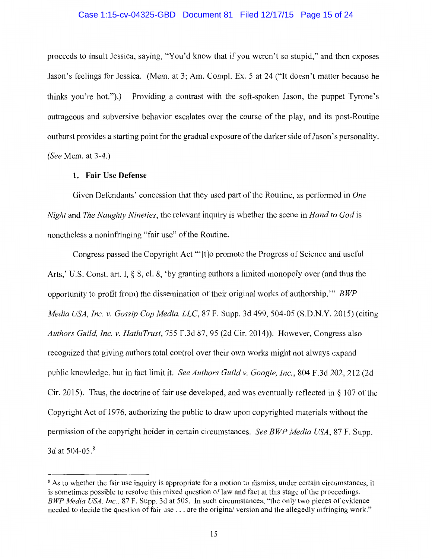## Case 1:15-cv-04325-GBD Document 81 Filed 12/17/15 Page 15 of 24

proceeds to insult Jessica, saying, "You'd know that if you weren't so stupid," and then exposes Jason's feelings for Jessica. (Mem. at 3; Am. Compl. Ex. 5 at 24 ("It doesn't matter because he thinks you're hot.").) Providing a contrast with the soft-spoken Jason, the puppet Tyrone's outrageous and subversive behavior escalates over the course of the play, and its post-Routine outburst provides a starting point for the gradual exposure of the darker side of Jason's personality. *(See* Mem. at 3-4.)

# **1. Fair Use Defense**

Given Defendants' concession that they used part of the Routine, as performed in *One Night* and *The Naughty Nineties,* the relevant inquiry is whether the scene in *Hand to God* is nonetheless a noninfringing "fair use" of the Routine.

Congress passed the Copyright Act "'[t]o promote the Progress of Science and useful Arts,' U.S. Const. art. I, § 8, cl. 8, 'by granting authors a limited monopoly over (and thus the opportunity to profit from) the dissemination of their original works of authorship."' *BWP Media USA, Inc. v. Gossip Cop Media, LLC,* 87 F. Supp. 3d 499, 504-05 (S.D.N.Y. 2015) (citing *Authors Guild, Inc. v. HathiTrust,* 755 F.3d 87, 95 (2d Cir. 2014)). However, Congress also recognized that giving authors total control over their own works might not always expand public knowledge, but in fact limit it. *See Authors Guild v. Google, Inc.,* 804 F .3d 202, 212 (2d Cir. 2015). Thus, the doctrine of fair use developed, and was eventually reflected in § 107 of the Copyright Act of 1976, authorizing the public to draw upon copyrighted materials without the permission of the copyright holder in certain circumstances. *See BWP Media USA,* 87 F. Supp. 3d at 504-05. <sup>8</sup>

<sup>&</sup>lt;sup>8</sup> As to whether the fair use inquiry is appropriate for a motion to dismiss, under certain circumstances, it is sometimes possible to resolve this mixed question of law and fact at this stage of the proceedings. *BWP Media USA, Inc.,* 87 F. Supp. 3d at 505. In such circumstances, "the only two pieces of evidence needed to decide the question of fair use ... are the original version and the allegedly infringing work."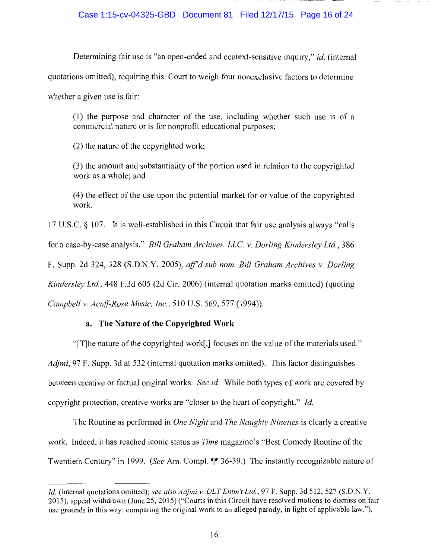# Case 1:15-cv-04325-GBD Document 81 Filed 12/17/15 Page 16 of 24

Determining fair use is "an open-ended and context-sensitive inquiry," *id.* (internal quotations omitted), requiring this Court to weigh four nonexclusive factors to determine whether a given use is fair:

( 1) the purpose and character of the use, including whether such use is of a commercial nature or is for nonprofit educational purposes;

(2) the nature of the copyrighted work;

(3) the amount and substantiality of the portion used in relation to the copyrighted work as a whole; and

( 4) the effect of the use upon the potential market for or value of the copyrighted work.

17 U.S.C. § 107. It is well-established in this Circuit that fair use analysis always "calls

for a case-by-case analysis." *Bill Graham Archives, LLC. v. Darling Kindersley Ltd.,* 386

F. Supp. 2d 324, 328 (S.D.N.Y. 2005), *ajf'd sub nom. Bill Graham Archives v. Darling* 

*Kindersley Ltd.,* 448 F.3d 605 (2d Cir. 2006) (internal quotation marks omitted) (quoting

*Campbell v. Acuff-Rose Music, Inc.,* 510 U.S. 569, 577 (1994)).

# **a. The Nature of the Copyrighted Work**

"[T]he nature of the copyrighted work[,] focuses on the value of the materials used." *Adjmi,* 97 F. Supp. 3d at 532 (internal quotation marks omitted). This factor distinguishes between creative or factual original works. *See id.* While both types of work are covered by copyright protection, creative works are "closer to the heart of copyright." *Id.* 

The Routine as performed in *One Night* and *The Naughty Nineties* is clearly a creative work. Indeed, it has reached iconic status as *Time* magazine's "Best Comedy Routine of the Twentieth Century" in 1999. *(See Am. Compl.* **1**] 36-39.) The instantly recognizable nature of

*Id.* (internal quotations omitted); *see also Adjmi v. DLT Entm't Ltd.,* 97 F. Supp. 3d 512, 527 (S.D.N.Y. 2015), appeal withdrawn (June 25, 2015) ("Courts in this Circuit have resolved motions to dismiss on fair use grounds in this way: comparing the original work to an alleged parody, in light of applicable law.").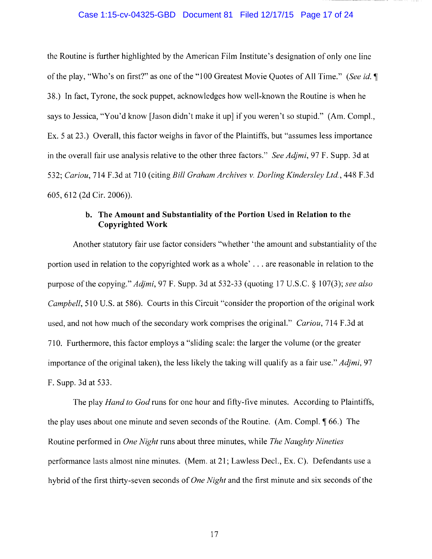## Case 1:15-cv-04325-GBD Document 81 Filed 12/17/15 Page 17 of 24

the Routine is further highlighted by the American Film Institute's designation of only one line of the play, "Who's on first?" as one of the "l 00 Greatest Movie Quotes of All Time." *(See id.* ii 38.) In fact, Tyrone, the sock puppet, acknowledges how well-known the Routine is when he says to Jessica, "You'd know [Jason didn't make it up] if you weren't so stupid." (Am. Compl., Ex. 5 at 23.) Overall, this factor weighs in favor of the Plaintiffs, but "assumes less importance in the overall fair use analysis relative to the other three factors." *See Acijmi,* 97 F. Supp. 3d at 532; *Cariou,* 714 F.3d at 710 (citing *Bill Graham Archives v. Darling Kindersley Ltd.,* 448 F.3d 605, 612 (2d Cir. 2006)).

# **b. The Amount and Substantiality of the Portion Used in Relation to the Copyrighted Work**

Another statutory fair use factor considers "whether 'the amount and substantiality of the portion used in relation to the copyrighted work as a whole' ... are reasonable in relation to the purpose of the copying." *Acijmi,* 97 F. Supp. 3d at 532-33 (quoting 17 U.S.C. § 107(3); *see also Campbell,* 510 U.S. at 586). Courts in this Circuit "consider the proportion of the original work used, and not how much of the secondary work comprises the original." *Cariou,* 714 F.3d at 710. Furthermore, this factor employs a "sliding scale: the larger the volume (or the greater importance of the original taken), the less likely the taking will qualify as a fair use." *Adjmi*, 97 F. Supp. 3d at 533.

The play *Hand to God* runs for one hour and fifty-five minutes. According to Plaintiffs, the play uses about one minute and seven seconds of the Routine. (Am. Compl.  $\oint$  66.) The Routine performed in *One Night* runs about three minutes, while *The Naughty Nineties*  performance lasts almost nine minutes. (Mem. at 21; Lawless Deel., Ex. C). Defendants use a hybrid of the first thirty-seven seconds of *One Night* and the first minute and six seconds of the

17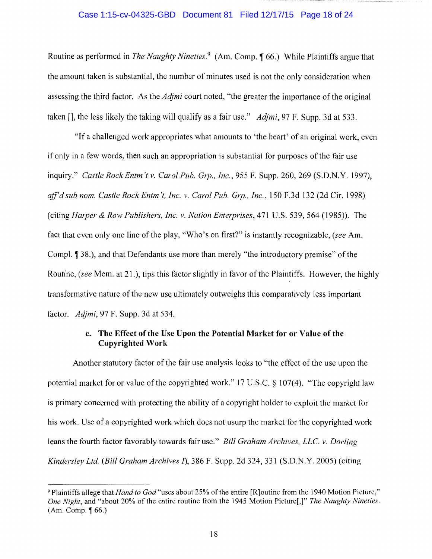## Case 1:15-cv-04325-GBD Document 81 Filed 12/17/15 Page 18 of 24

Routine as performed in *The Naughty Nineties*.<sup>9</sup> (Am. Comp. 166.) While Plaintiffs argue that the amount taken is substantial, the number of minutes used is not the only consideration when assessing the third factor. As the *Adjmi* court noted, "the greater the importance of the original taken [], the less likely the taking will qualify as a fair use." *Adjmi*, 97 F. Supp. 3d at 533.

"If a challenged work appropriates what amounts to 'the heart' of an original work, even if only in a few words, then such an appropriation is substantial for purposes of the fair use inquiry." *Castle Rock Entm 't v. Carol Pub. Grp., Inc.,* 955 F. Supp. 260, 269 (S.D.N.Y. 1997), *aff'd sub nom. Castle Rock Entm 't, Inc. v. Carol Pub. Grp., Inc.,* 150 F .3d 132 (2d Cir. 1998) (citing *Harper* & *Row Publishers, Inc. v. Nation Enterprises,* 471 U.S. 539, 564 (1985)). The fact that even only one line of the play, "Who's on first?" is instantly recognizable, *(see* Am. Compl. If 38.), and that Defendants use more than merely "the introductory premise" of the Routine, *(see* Mem. at 21. ), tips this factor slightly in favor of the Plaintiffs. However, the highly trans formative nature of the new use ultimately outweighs this comparatively less important factor. *Adjmi,* 97 F. Supp. 3d at 534.

# **c. The Effect of the** Use **Upon the Potential Market for or Value of the Copyrighted Work**

Another statutory factor of the fair use analysis looks to "the effect of the use upon the potential market for or value of the copyrighted work." 17 U.S.C. § 107(4). "The copyright law is primary concerned with protecting the ability of a copyright holder to exploit the market for his work. Use of a copyrighted work which does not usurp the market for the copyrighted work leans the fourth factor favorably towards fair use." *Bill Graham Archives, LLC. v. Darling Kindersley Ltd. (Bill Graham Archives* I), 386 F. Supp. 2d 324, 331 (S.D.N.Y. 2005) (citing

<sup>9</sup> Plaintiffs allege that *Hand to God* "uses about 25% of the entire [R ]outine from the 1940 Motion Picture," *One Night,* and "about 20% of the entire routine from the 1945 Motion Picture[,]" *The Naughty Nineties.*   $(Am. Comp. \P 66.)$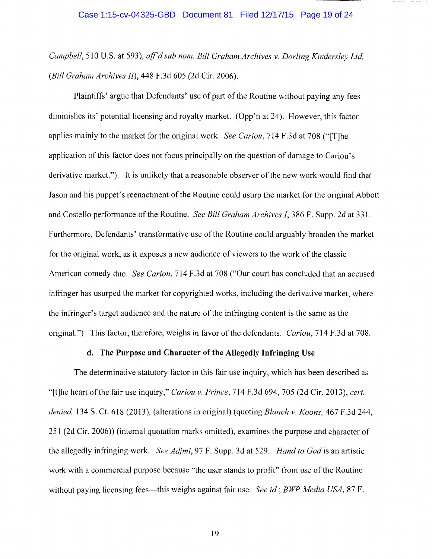*Campbell,* 510 U.S. at 593), *aff'd sub nom. Bill Graham Archives v. Darling Kindersley Ltd. (Bill Graham Archives* JI), 448 F.3d 605 (2d Cir. 2006).

Plaintiffs' argue that Defendants' use of part of the Routine without paying any fees diminishes its' potential licensing and royalty market. (Opp'n at 24). However, this factor applies mainly to the market for the original work. *See Cariou,* 714 F.3d at 708 ("[T]he application of this factor does not focus principally on the question of damage to Cariou's derivative market."). It is unlikely that a reasonable observer of the new work would find that Jason and his puppet's reenactment of the Routine could usurp the market for the original Abbott and Costello performance of the Routine. *See Bill Graham Archives I,* 386 F. Supp. 2d at 331. Furthermore, Defendants' transformative use of the Routine could arguably broaden the market for the original work, as it exposes a new audience of viewers to the work of the classic American comedy duo. *See Cariou,* 714 F.3d at 708 ("Our court has concluded that an accused infringer has usurped the market for copyrighted works, including the derivative market, where the infringer's target audience and the nature of the infringing content is the same as the original.") This factor, therefore, weighs in favor of the defendants. *Cariou,* 714 F.3d at 708.

# **d. The Purpose and Character of the Allegedly Infringing Use**

The determinative statutory factor in this fair use inquiry, which has been described as "[t]he heart of the fair use inquiry," *Cariou v. Prince,* 714 F.3d 694, 705 (2d Cir. 2013), *cert. denied,* 134 S. Ct. 618 (2013), (alterations in original) (quoting *Blanch v. Koons,* 467 F.3d 244, 251 (2d Cir. 2006)) (internal quotation marks omitted), examines the purpose and character of the allegedly infringing work. *See Adjmi,* 97 F. Supp. 3d at 529. *Hand to God* is an artistic work with a commercial purpose because "the user stands to profit" from use of the Routine without paying licensing fees—this weighs against fair use. *See id.*; *BWP Media USA*, 87 F.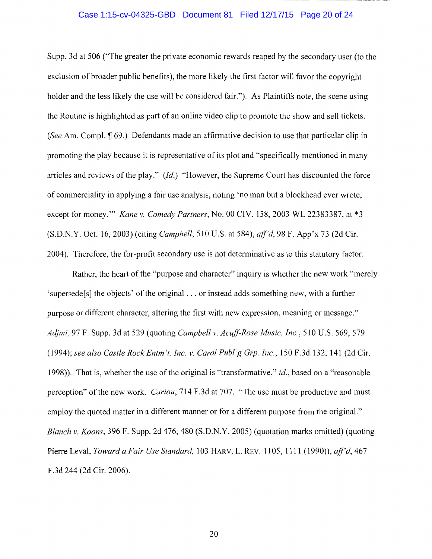#### Case 1:15-cv-04325-GBD Document 81 Filed 12/17/15 Page 20 of 24

Supp. 3d at 506 ("The greater the private economic rewards reaped by the secondary user (to the exclusion of broader public benefits), the more likely the first factor will favor the copyright holder and the less likely the use will be considered fair."). As Plaintiffs note, the scene using the Routine is highlighted as part of an online video clip to promote the show and sell tickets. *(See Am. Compl.* 169.) Defendants made an affirmative decision to use that particular clip in promoting the play because it is representative of its plot and "specifically mentioned in many articles and reviews of the play." *(Id.)* "However, the Supreme Court has discounted the force of commerciality in applying a fair use analysis, noting 'no man but a blockhead ever wrote, except for money."' *Kane v. Comedy Partners,* No. 00 CIV. 158, 2003 WL 22383387, at \*3 (S.D.N.Y. Oct. 16, 2003) (citing *Campbell,* 510 U.S. at 584), *ajf'd,* 98 F. App'x 73 (2d Cir. 2004). Therefore, the for-profit secondary use is not determinative as to this statutory factor.

Rather, the heart of the "purpose and character" inquiry is whether the new work "merely 'supersede[s] the objects' of the original ... or instead adds something new, with a further purpose or different character, altering the first with new expression, meaning or message." *Adjmi,* 97 F. Supp. 3d at 529 (quoting *Campbell v. Acuff-Rose Music, Inc.,* 510 U.S. 569, 579 (1994); *see also Castle Rock Entm 't. Inc. v. Carol Publ'g Grp. Inc.,* 150 F.3d 132, 141 (2d Cir. 1998)). That is, whether the use of the original is "transformative," *id.,* based on a "reasonable perception" of the new work. *Cariou,* 714 F .3d at 707. "The use must be productive and must employ the quoted matter in a different manner or for a different purpose from the original." *Blanch v. Koons,* 396 F. Supp. 2d 476, 480 (S.D.N.Y. 2005) (quotation marks omitted) (quoting Pierre Leval, *Toward a Fair Use Standard,* 103 HARV. L. REV. 1105, 1111 (1990)), *aff'd,* 467 F.3d 244 (2d Cir. 2006).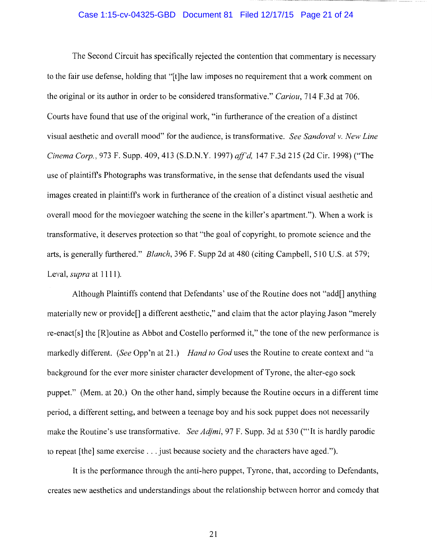## Case 1:15-cv-04325-GBD Document 81 Filed 12/17/15 Page 21 of 24

The Second Circuit has specifically rejected the contention that commentary is necessary to the fair use defense, holding that "[t]he law imposes no requirement that a work comment on the original or its author in order to be considered transformative." *Cariou,* 714 F.3d at 706. Courts have found that use of the original work, "in furtherance of the creation of a distinct visual aesthetic and overall mood" for the audience, is transformative. *See Sandoval v. New Line Cinema Corp.,* 973 F. Supp. 409, 413 (S.D.N.Y. 1997) *aff'd,* 147 F.3d 215 (2d Cir. 1998) ("The use of plaintiffs Photographs was transformative, in the sense that defendants used the visual images created in plaintiffs work in furtherance of the creation of a distinct visual aesthetic and overall mood for the moviegoer watching the scene in the killer's apartment."). When a work is transformative, it deserves protection so that "the goal of copyright, to promote science and the arts, is generally furthered." *Blanch,* 396 F. Supp 2d at 480 (citing Campbell, 510 U.S. at 579; Leval, *supra* at **1111** ).

Although Plaintiffs contend that Defendants' use of the Routine does not "add[] anything materially new or provide[] a different aesthetic," and claim that the actor playing Jason "merely re-enact[s] the [R]outine as Abbot and Costello performed it," the tone of the new performance is markedly different. (See Opp'n at 21.) *Hand to God* uses the Routine to create context and "a background for the ever more sinister character development of Tyrone, the alter-ego sock puppet." (Mem. at 20.) On the other hand, simply because the Routine occurs in a different time period, a different setting, and between a teenage boy and his sock puppet does not necessarily make the Routine's use transformative. *See Adjmi*, 97 F. Supp. 3d at 530 ("It is hardly parodic to repeat [the] same exercise ... just because society and the characters have aged.").

It is the performance through the anti-hero puppet, Tyrone, that, according to Defendants, creates new aesthetics and understandings about the relationship between horror and comedy that

21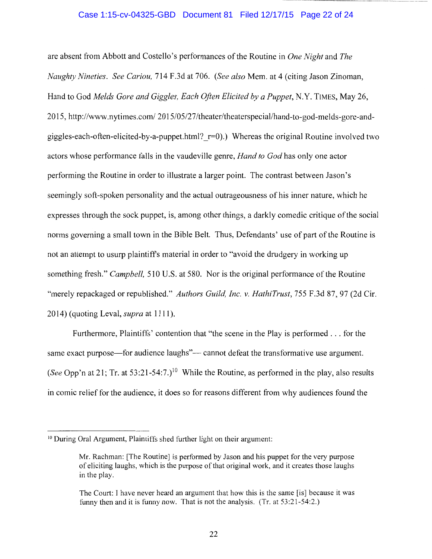## Case 1:15-cv-04325-GBD Document 81 Filed 12/17/15 Page 22 of 24

are absent from Abbott and Costello's performances of the Routine in *One Night* and *The Naughty Nineties. See Cariou,* 714 F .3d at 706. *(See also* Mem. at 4 (citing Jason Zinoman, Hand to God *Melds Gore and Giggles, Each Often Elicited by a Puppet,* N.Y. TIMES, May 26, 2015, http://www.nytimes.com/ 2015/05/27 /theater/theaterspecial/hand-to-god-melds-gore-andgiggles-each-often-elicited-by-a-puppet.html?  $r=0$ ).) Whereas the original Routine involved two actors whose performance falls in the vaudeville genre, *Hand to God* has only one actor performing the Routine in order to illustrate a larger point. The contrast between Jason's seemingly soft-spoken personality and the actual outrageousness of his inner nature, which he expresses through the sock puppet, is, among other things, a darkly comedic critique of the social norms governing a small town in the Bible Belt. Thus, Defendants' use of part of the Routine is not an attempt to usurp plaintiffs material in order to "avoid the drudgery in working up something fresh." *Campbell,* 510 U.S. at 580. Nor is the original performance of the Routine "merely repackaged or republished." *Authors Guild, Inc. v. HathiTrust,* 755 F.3d 87, 97 (2d Cir. 2014) (quoting Leval, *supra* at 1111 ).

Furthermore, Plaintiffs' contention that "the scene in the Play is performed ... for the same exact purpose—for audience laughs"— cannot defeat the transformative use argument. (See Opp'n at 21; Tr. at 53:21-54:7.)<sup>10</sup> While the Routine, as performed in the play, also results in comic relief for the audience, it does so for reasons different from why audiences found the

<sup>&</sup>lt;sup>10</sup> During Oral Argument, Plaintiffs shed further light on their argument:

Mr. Rachman: [The Routine] is performed by Jason and his puppet for the very purpose of eliciting laughs, which is the purpose of that original work, and it creates those laughs in the play.

The Court: I have never heard an argument that how this is the same [is] because it was funny then and it is funny now. That is not the analysis. (Tr. at 53:21-54:2.)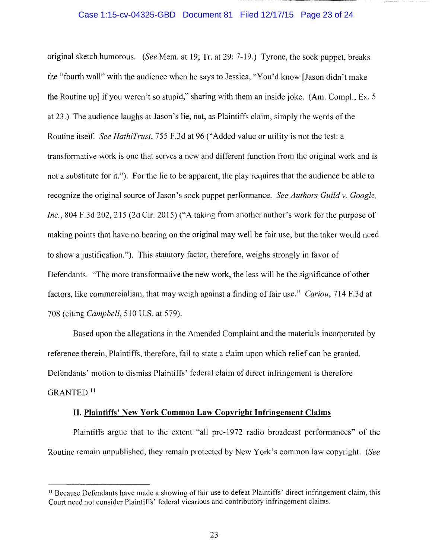## Case 1:15-cv-04325-GBD Document 81 Filed 12/17/15 Page 23 of 24

original sketch humorous. *(See* Mem. at 19; Tr. at 29: 7-19.) Tyrone, the sock puppet, breaks the "fourth wall" with the audience when he says to Jessica, "You'd know [Jason didn't make the Routine up] if you weren't so stupid," sharing with them an inside joke. (Am. Compl., Ex.  $5$ ) at 23.) The audience laughs at Jason's lie, not, as Plaintiffs claim, simply the words of the Routine itself. *See HathiTrust,* 755 F.3d at 96 ("Added value or utility is not the test: a transformative work is one that serves a new and different function from the original work and is not a substitute for it."). For the lie to be apparent, the play requires that the audience be able to recognize the original source of Jason's sock puppet performance. *See Authors Guild v. Google, Inc.,* 804 F.3d 202, 215 (2d Cir. 2015) ("A taking from another author's work for the purpose of making points that have no bearing on the original may well be fair use, but the taker would need to show a justification."). This statutory factor, therefore, weighs strongly in favor of Defendants. "The more transformative the new work, the less will be the significance of other factors, like commercialism, that may weigh against a finding of fair use." *Cariou,* 714 F.3d at 708 (citing *Campbell,* 510 U.S. at 579).

Based upon the allegations in the Amended Complaint and the materials incorporated by reference therein, Plaintiffs, therefore, fail to state a claim upon which relief can be granted. Defendants' motion to dismiss Plaintiffs' federal claim of direct infringement is therefore GRANTED. <sup>11</sup>

# **II. Plaintiffs' New York Common Law Copyright Infringement Claims**

Plaintiffs argue that to the extent "all pre-1972 radio broadcast performances" of the Routine remain unpublished, they remain protected by New York's common law copyright. *(See* 

<sup>11</sup> Because Defendants have made a showing of fair use to defeat Plaintiffs' direct infringement claim, this Court need not consider Plaintiffs' federal vicarious and contributory infringement claims.